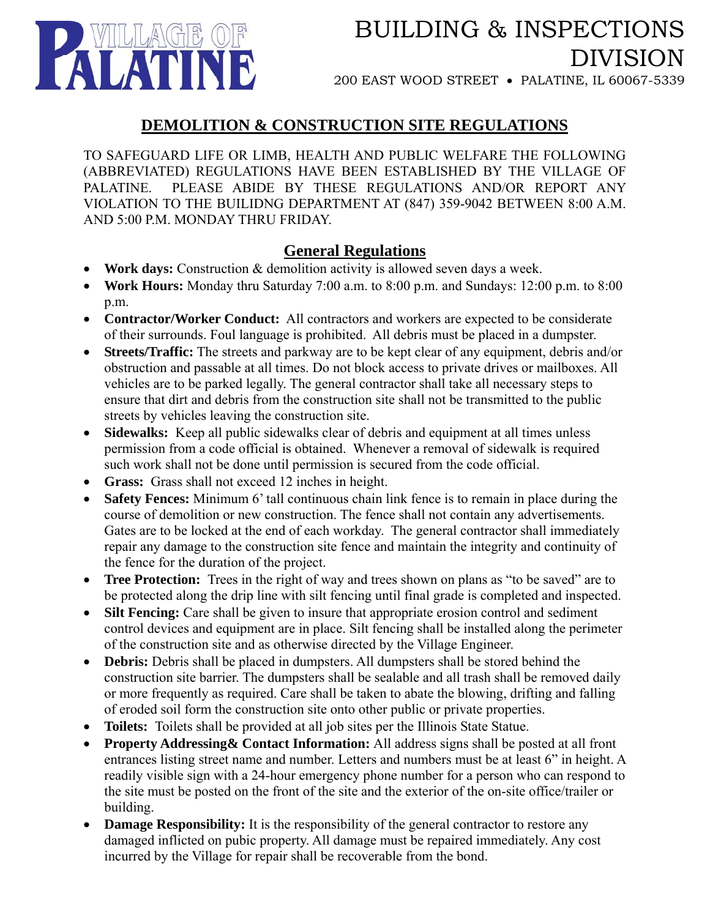

# BUILDING & INSPECTIONS DIVISION

200 EAST WOOD STREET • PALATINE, IL 60067-5339

## **DEMOLITION & CONSTRUCTION SITE REGULATIONS**

TO SAFEGUARD LIFE OR LIMB, HEALTH AND PUBLIC WELFARE THE FOLLOWING (ABBREVIATED) REGULATIONS HAVE BEEN ESTABLISHED BY THE VILLAGE OF PALATINE. PLEASE ABIDE BY THESE REGULATIONS AND/OR REPORT ANY VIOLATION TO THE BUILIDNG DEPARTMENT AT (847) 359-9042 BETWEEN 8:00 A.M. AND 5:00 P.M. MONDAY THRU FRIDAY.

### **General Regulations**

- **Work days:** Construction & demolition activity is allowed seven days a week.
- **Work Hours:** Monday thru Saturday 7:00 a.m. to 8:00 p.m. and Sundays: 12:00 p.m. to 8:00 p.m.
- **Contractor/Worker Conduct:** All contractors and workers are expected to be considerate of their surrounds. Foul language is prohibited. All debris must be placed in a dumpster.
- **Streets/Traffic:** The streets and parkway are to be kept clear of any equipment, debris and/or obstruction and passable at all times. Do not block access to private drives or mailboxes. All vehicles are to be parked legally. The general contractor shall take all necessary steps to ensure that dirt and debris from the construction site shall not be transmitted to the public streets by vehicles leaving the construction site.
- **Sidewalks:** Keep all public sidewalks clear of debris and equipment at all times unless permission from a code official is obtained. Whenever a removal of sidewalk is required such work shall not be done until permission is secured from the code official.
- **Grass:** Grass shall not exceed 12 inches in height.
- **Safety Fences:** Minimum 6' tall continuous chain link fence is to remain in place during the course of demolition or new construction. The fence shall not contain any advertisements. Gates are to be locked at the end of each workday. The general contractor shall immediately repair any damage to the construction site fence and maintain the integrity and continuity of the fence for the duration of the project.
- **Tree Protection:** Trees in the right of way and trees shown on plans as "to be saved" are to be protected along the drip line with silt fencing until final grade is completed and inspected.
- **Silt Fencing:** Care shall be given to insure that appropriate erosion control and sediment control devices and equipment are in place. Silt fencing shall be installed along the perimeter of the construction site and as otherwise directed by the Village Engineer.
- **Debris:** Debris shall be placed in dumpsters. All dumpsters shall be stored behind the construction site barrier. The dumpsters shall be sealable and all trash shall be removed daily or more frequently as required. Care shall be taken to abate the blowing, drifting and falling of eroded soil form the construction site onto other public or private properties.
- **Toilets:** Toilets shall be provided at all job sites per the Illinois State Statue.
- **Property Addressing& Contact Information:** All address signs shall be posted at all front entrances listing street name and number. Letters and numbers must be at least 6" in height. A readily visible sign with a 24-hour emergency phone number for a person who can respond to the site must be posted on the front of the site and the exterior of the on-site office/trailer or building.
- **Damage Responsibility:** It is the responsibility of the general contractor to restore any damaged inflicted on pubic property. All damage must be repaired immediately. Any cost incurred by the Village for repair shall be recoverable from the bond.